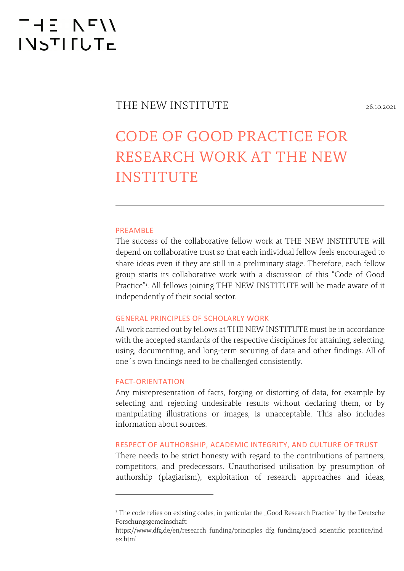## $-15 N T$ **INSTIFUTE**

### THE NEW INSTITUTE

### CODE OF GOOD PRACTICE FOR RESEARCH WORK AT THE NEW INSTITUTE

#### PREAMBLE

The success of the collaborative fellow work at THE NEW INSTITUTE will depend on collaborative trust so that each individual fellow feels encouraged to share ideas even if they are still in a preliminary stage. Therefore, each fellow group starts its collaborative work with a discussion of this "Code of Good Practice"1 . All fellows joining THE NEW INSTITUTE will be made aware of it independently of their social sector.

#### GENERAL PRINCIPLES OF SCHOLARLY WORK

All work carried out by fellows at THE NEW INSTITUTE must be in accordance with the accepted standards of the respective disciplines for attaining, selecting, using, documenting, and long-term securing of data and other findings. All of one´s own findings need to be challenged consistently.

#### FACT-ORIENTATION

Any misrepresentation of facts, forging or distorting of data, for example by selecting and rejecting undesirable results without declaring them, or by manipulating illustrations or images, is unacceptable. This also includes information about sources.

#### RESPECT OF AUTHORSHIP, ACADEMIC INTEGRITY, AND CULTURE OF TRUST

There needs to be strict honesty with regard to the contributions of partners, competitors, and predecessors. Unauthorised utilisation by presumption of authorship (plagiarism), exploitation of research approaches and ideas,

<sup>&</sup>lt;sup>1</sup> The code relies on existing codes, in particular the "Good Research Practice" by the Deutsche Forschungsgemeinschaft:

https://www.dfg.de/en/research\_funding/principles\_dfg\_funding/good\_scientific\_practice/ind ex.html